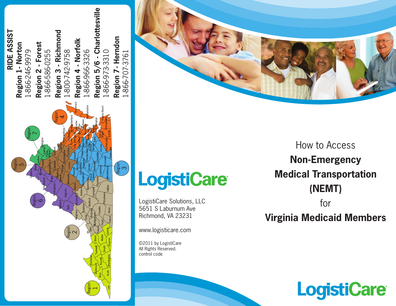



# **LogistiCare**

LogistiCare Solutions, LLC 5651 S Laburnum Ave Richmond, VA 23231

www.logisticare.com

©2011 by LogistiCare All Rights Reserved. control code

How to Access **Non-Emergency Medical Transportation (NEMT)**

### for

## **Virginia Medicaid Members**